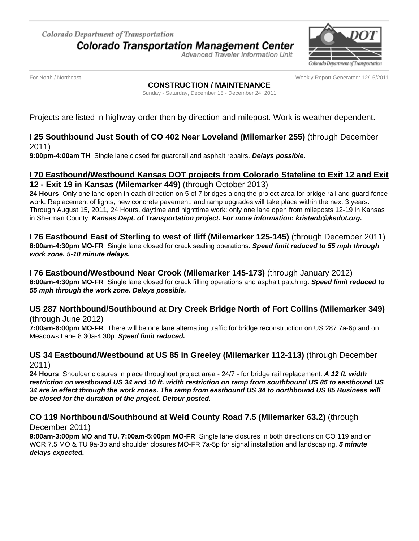Colorado Department of Transportation **Colorado Transportation Management Center** 

Advanced Traveler Information Unit



For North / Northeast Weekly Report Generated: 12/16/2011

#### **CONSTRUCTION / MAINTENANCE**

Sunday - Saturday, December 18 - December 24, 2011

Projects are listed in highway order then by direction and milepost. Work is weather dependent.

## **I 25 Southbound Just South of CO 402 Near Loveland (Milemarker 255)** (through December 2011)

**9:00pm-4:00am TH** Single lane closed for guardrail and asphalt repairs. **Delays possible.**

# **I 70 Eastbound/Westbound Kansas DOT projects from Colorado Stateline to Exit 12 and Exit 12 - Exit 19 in Kansas (Milemarker 449)** (through October 2013)

**24 Hours** Only one lane open in each direction on 5 of 7 bridges along the project area for bridge rail and guard fence work. Replacement of lights, new concrete pavement, and ramp upgrades will take place within the next 3 years. Through August 15, 2011, 24 Hours, daytime and nighttime work: only one lane open from mileposts 12-19 in Kansas in Sherman County. **Kansas Dept. of Transportation project. For more information: kristenb@ksdot.org.**

**I 76 Eastbound East of Sterling to west of Iliff (Milemarker 125-145)** (through December 2011) **8:00am-4:30pm MO-FR** Single lane closed for crack sealing operations. **Speed limit reduced to 55 mph through work zone. 5-10 minute delays.**

## **I 76 Eastbound/Westbound Near Crook (Milemarker 145-173)** (through January 2012)

**8:00am-4:30pm MO-FR** Single lane closed for crack filling operations and asphalt patching. **Speed limit reduced to 55 mph through the work zone. Delays possible.**

# **US 287 Northbound/Southbound at Dry Creek Bridge North of Fort Collins (Milemarker 349)**

(through June 2012)

**7:00am-6:00pm MO-FR** There will be one lane alternating traffic for bridge reconstruction on US 287 7a-6p and on Meadows Lane 8:30a-4:30p. **Speed limit reduced.**

## **US 34 Eastbound/Westbound at US 85 in Greeley (Milemarker 112-113)** (through December 2011)

**24 Hours** Shoulder closures in place throughout project area - 24/7 - for bridge rail replacement. **A 12 ft. width restriction on westbound US 34 and 10 ft. width restriction on ramp from southbound US 85 to eastbound US 34 are in effect through the work zones. The ramp from eastbound US 34 to northbound US 85 Business will be closed for the duration of the project. Detour posted.**

#### **CO 119 Northbound/Southbound at Weld County Road 7.5 (Milemarker 63.2)** (through December 2011)

**9:00am-3:00pm MO and TU, 7:00am-5:00pm MO-FR** Single lane closures in both directions on CO 119 and on WCR 7.5 MO & TU 9a-3p and shoulder closures MO-FR 7a-5p for signal installation and landscaping. **5 minute delays expected.**